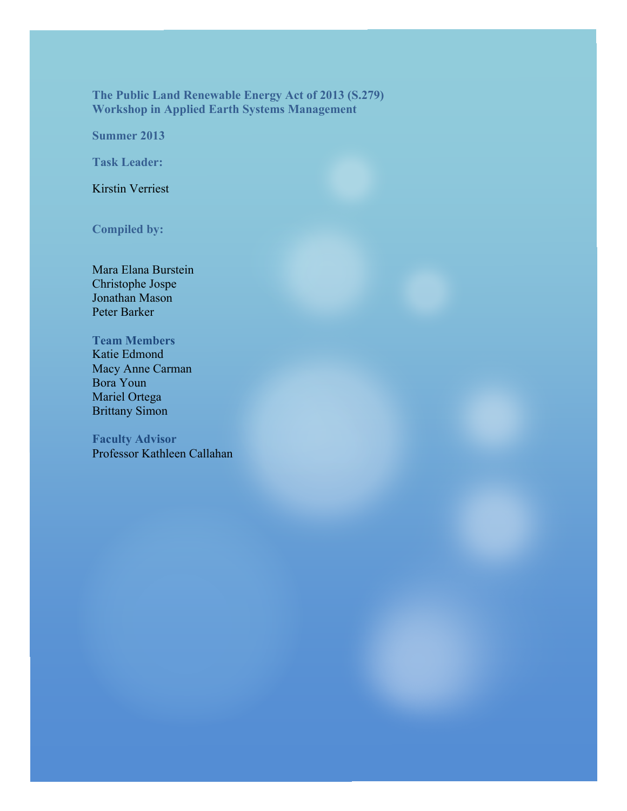**The Public Land Renewable Energy Act of 2013 (S.279) Workshop in Applied Earth Systems Management**

**Summer 2013**

**Task Leader:**

Kirstin Verriest

**Compiled by:**

Mara Elana Burstein Christophe Jospe Jonathan Mason Peter Barker

**Team Members** Katie Edmond

Macy Anne Carman Bora Youn Mariel Ortega Brittany Simon

**Faculty Advisor** Professor Kathleen Callahan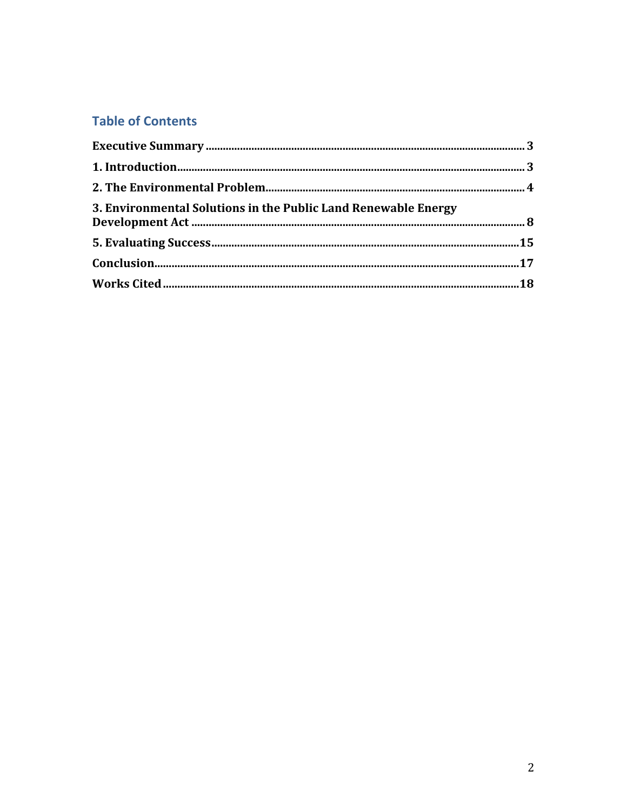# **Table of Contents**

| 3. Environmental Solutions in the Public Land Renewable Energy |  |
|----------------------------------------------------------------|--|
|                                                                |  |
|                                                                |  |
|                                                                |  |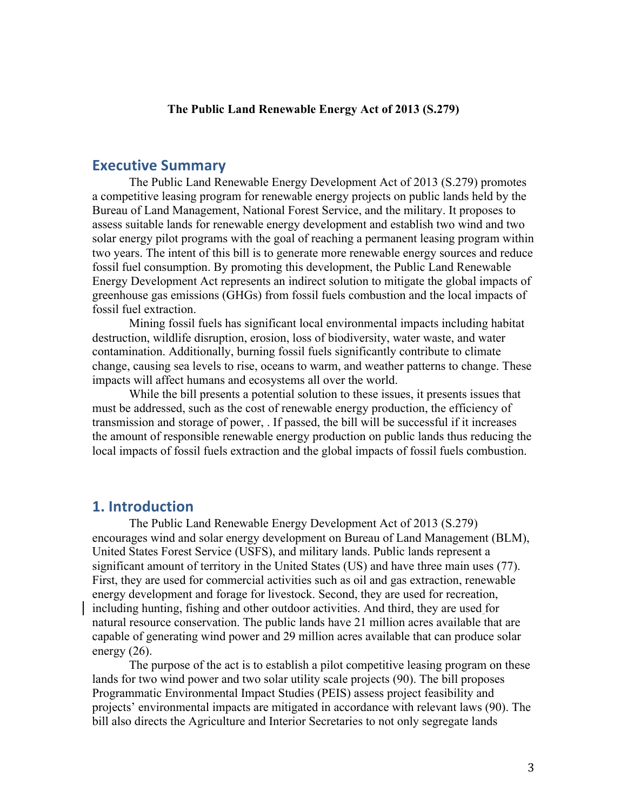#### **The Public Land Renewable Energy Act of 2013 (S.279)**

## **Executive Summary**

The Public Land Renewable Energy Development Act of 2013 (S.279) promotes a competitive leasing program for renewable energy projects on public lands held by the Bureau of Land Management, National Forest Service, and the military. It proposes to assess suitable lands for renewable energy development and establish two wind and two solar energy pilot programs with the goal of reaching a permanent leasing program within two years. The intent of this bill is to generate more renewable energy sources and reduce fossil fuel consumption. By promoting this development, the Public Land Renewable Energy Development Act represents an indirect solution to mitigate the global impacts of greenhouse gas emissions (GHGs) from fossil fuels combustion and the local impacts of fossil fuel extraction.

Mining fossil fuels has significant local environmental impacts including habitat destruction, wildlife disruption, erosion, loss of biodiversity, water waste, and water contamination. Additionally, burning fossil fuels significantly contribute to climate change, causing sea levels to rise, oceans to warm, and weather patterns to change. These impacts will affect humans and ecosystems all over the world.

While the bill presents a potential solution to these issues, it presents issues that must be addressed, such as the cost of renewable energy production, the efficiency of transmission and storage of power, . If passed, the bill will be successful if it increases the amount of responsible renewable energy production on public lands thus reducing the local impacts of fossil fuels extraction and the global impacts of fossil fuels combustion.

## **1.** Introduction

The Public Land Renewable Energy Development Act of 2013 (S.279) encourages wind and solar energy development on Bureau of Land Management (BLM), United States Forest Service (USFS), and military lands. Public lands represent a significant amount of territory in the United States (US) and have three main uses (77). First, they are used for commercial activities such as oil and gas extraction, renewable energy development and forage for livestock. Second, they are used for recreation, including hunting, fishing and other outdoor activities. And third, they are used for natural resource conservation. The public lands have 21 million acres available that are capable of generating wind power and 29 million acres available that can produce solar energy  $(26)$ .

The purpose of the act is to establish a pilot competitive leasing program on these lands for two wind power and two solar utility scale projects (90). The bill proposes Programmatic Environmental Impact Studies (PEIS) assess project feasibility and projects' environmental impacts are mitigated in accordance with relevant laws (90). The bill also directs the Agriculture and Interior Secretaries to not only segregate lands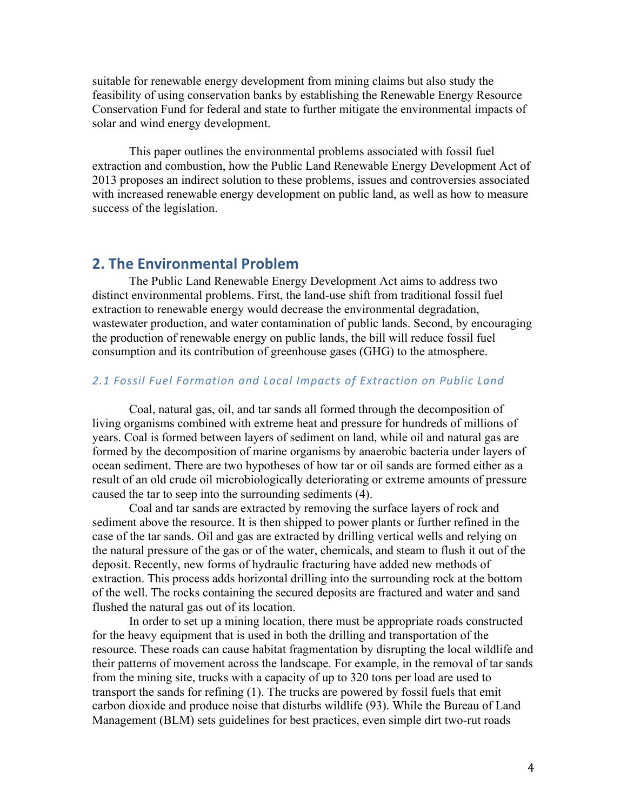suitable for renewable energy development from mining claims but also study the feasibility of using conservation banks by establishing the Renewable Energy Resource Conservation Fund for federal and state to further mitigate the environmental impacts of solar and wind energy development.

This paper outlines the environmental problems associated with fossil fuel extraction and combustion, how the Public Land Renewable Energy Development Act of 2013 proposes an indirect solution to these problems, issues and controversies associated with increased renewable energy development on public land, as well as how to measure success of the legislation.

## **2. The Environmental Problem**

The Public Land Renewable Energy Development Act aims to address two distinct environmental problems. First, the land-use shift from traditional fossil fuel extraction to renewable energy would decrease the environmental degradation, wastewater production, and water contamination of public lands. Second, by encouraging the production of renewable energy on public lands, the bill will reduce fossil fuel consumption and its contribution of greenhouse gases (GHG) to the atmosphere.

#### 2.1 Fossil Fuel Formation and Local Impacts of Extraction on Public Land

Coal, natural gas, oil, and tar sands all formed through the decomposition of living organisms combined with extreme heat and pressure for hundreds of millions of years. Coal is formed between layers of sediment on land, while oil and natural gas are formed by the decomposition of marine organisms by anaerobic bacteria under layers of ocean sediment. There are two hypotheses of how tar or oil sands are formed either as a result of an old crude oil microbiologically deteriorating or extreme amounts of pressure caused the tar to seep into the surrounding sediments (4).

Coal and tar sands are extracted by removing the surface layers of rock and sediment above the resource. It is then shipped to power plants or further refined in the case of the tar sands. Oil and gas are extracted by drilling vertical wells and relying on the natural pressure of the gas or of the water, chemicals, and steam to flush it out of the deposit. Recently, new forms of hydraulic fracturing have added new methods of extraction. This process adds horizontal drilling into the surrounding rock at the bottom of the well. The rocks containing the secured deposits are fractured and water and sand flushed the natural gas out of its location.

In order to set up a mining location, there must be appropriate roads constructed for the heavy equipment that is used in both the drilling and transportation of the resource. These roads can cause habitat fragmentation by disrupting the local wildlife and their patterns of movement across the landscape. For example, in the removal of tar sands from the mining site, trucks with a capacity of up to 320 tons per load are used to transport the sands for refining (1). The trucks are powered by fossil fuels that emit carbon dioxide and produce noise that disturbs wildlife (93). While the Bureau of Land Management (BLM) sets guidelines for best practices, even simple dirt two-rut roads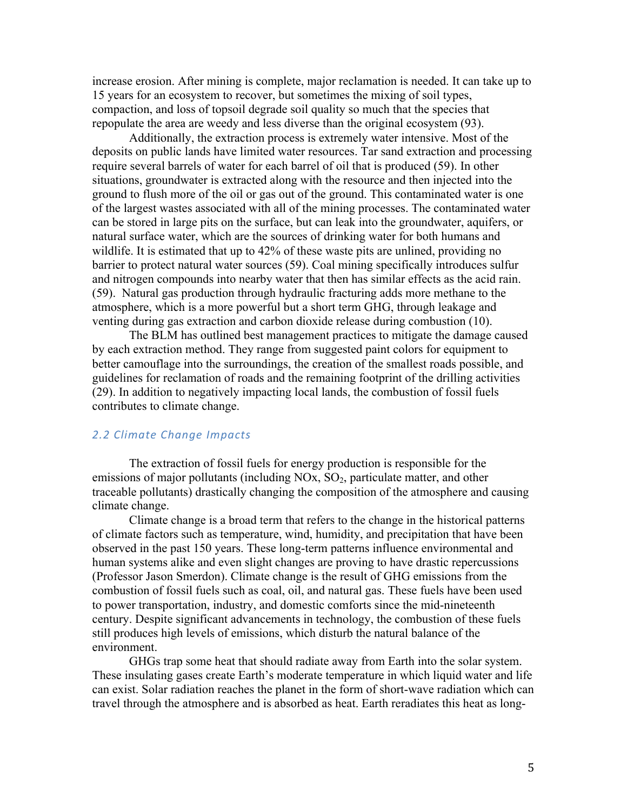increase erosion. After mining is complete, major reclamation is needed. It can take up to 15 years for an ecosystem to recover, but sometimes the mixing of soil types, compaction, and loss of topsoil degrade soil quality so much that the species that repopulate the area are weedy and less diverse than the original ecosystem (93).

Additionally, the extraction process is extremely water intensive. Most of the deposits on public lands have limited water resources. Tar sand extraction and processing require several barrels of water for each barrel of oil that is produced (59). In other situations, groundwater is extracted along with the resource and then injected into the ground to flush more of the oil or gas out of the ground. This contaminated water is one of the largest wastes associated with all of the mining processes. The contaminated water can be stored in large pits on the surface, but can leak into the groundwater, aquifers, or natural surface water, which are the sources of drinking water for both humans and wildlife. It is estimated that up to 42% of these waste pits are unlined, providing no barrier to protect natural water sources (59). Coal mining specifically introduces sulfur and nitrogen compounds into nearby water that then has similar effects as the acid rain. (59). Natural gas production through hydraulic fracturing adds more methane to the atmosphere, which is a more powerful but a short term GHG, through leakage and venting during gas extraction and carbon dioxide release during combustion (10).

The BLM has outlined best management practices to mitigate the damage caused by each extraction method. They range from suggested paint colors for equipment to better camouflage into the surroundings, the creation of the smallest roads possible, and guidelines for reclamation of roads and the remaining footprint of the drilling activities (29). In addition to negatively impacting local lands, the combustion of fossil fuels contributes to climate change.

### 2.2 Climate Change Impacts

The extraction of fossil fuels for energy production is responsible for the emissions of major pollutants (including  $NOx$ ,  $SO<sub>2</sub>$ , particulate matter, and other traceable pollutants) drastically changing the composition of the atmosphere and causing climate change.

Climate change is a broad term that refers to the change in the historical patterns of climate factors such as temperature, wind, humidity, and precipitation that have been observed in the past 150 years. These long-term patterns influence environmental and human systems alike and even slight changes are proving to have drastic repercussions (Professor Jason Smerdon). Climate change is the result of GHG emissions from the combustion of fossil fuels such as coal, oil, and natural gas. These fuels have been used to power transportation, industry, and domestic comforts since the mid-nineteenth century. Despite significant advancements in technology, the combustion of these fuels still produces high levels of emissions, which disturb the natural balance of the environment.

GHGs trap some heat that should radiate away from Earth into the solar system. These insulating gases create Earth's moderate temperature in which liquid water and life can exist. Solar radiation reaches the planet in the form of short-wave radiation which can travel through the atmosphere and is absorbed as heat. Earth reradiates this heat as long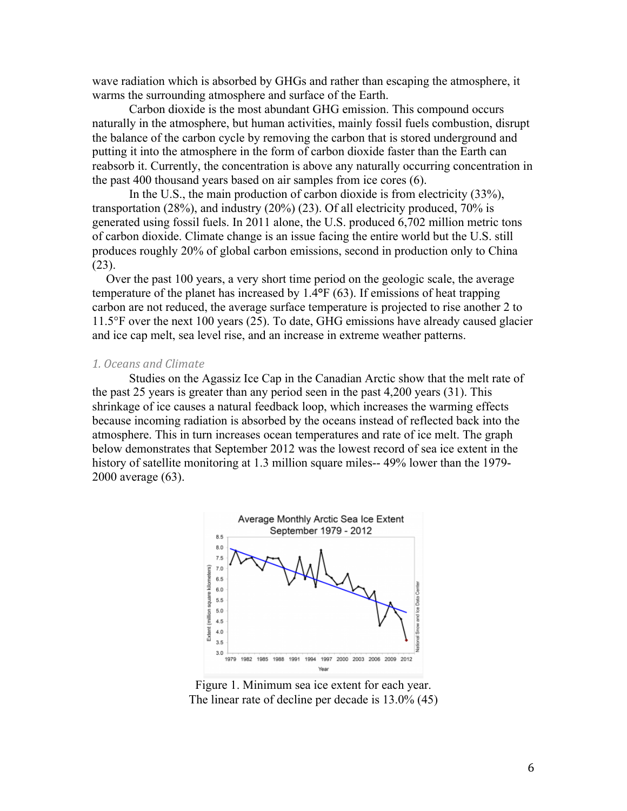wave radiation which is absorbed by GHGs and rather than escaping the atmosphere, it warms the surrounding atmosphere and surface of the Earth.

Carbon dioxide is the most abundant GHG emission. This compound occurs naturally in the atmosphere, but human activities, mainly fossil fuels combustion, disrupt the balance of the carbon cycle by removing the carbon that is stored underground and putting it into the atmosphere in the form of carbon dioxide faster than the Earth can reabsorb it. Currently, the concentration is above any naturally occurring concentration in the past 400 thousand years based on air samples from ice cores (6).

In the U.S., the main production of carbon dioxide is from electricity (33%), transportation (28%), and industry (20%) (23). Of all electricity produced, 70% is generated using fossil fuels. In 2011 alone, the U.S. produced 6,702 million metric tons of carbon dioxide. Climate change is an issue facing the entire world but the U.S. still produces roughly 20% of global carbon emissions, second in production only to China (23).

Over the past 100 years, a very short time period on the geologic scale, the average temperature of the planet has increased by 1.4**°**F (63). If emissions of heat trapping carbon are not reduced, the average surface temperature is projected to rise another 2 to 11.5°F over the next 100 years (25). To date, GHG emissions have already caused glacier and ice cap melt, sea level rise, and an increase in extreme weather patterns.

#### *1.#Oceans#and#Climate*

Studies on the Agassiz Ice Cap in the Canadian Arctic show that the melt rate of the past 25 years is greater than any period seen in the past 4,200 years (31). This shrinkage of ice causes a natural feedback loop, which increases the warming effects because incoming radiation is absorbed by the oceans instead of reflected back into the atmosphere. This in turn increases ocean temperatures and rate of ice melt. The graph below demonstrates that September 2012 was the lowest record of sea ice extent in the history of satellite monitoring at 1.3 million square miles-- 49% lower than the 1979- 2000 average (63).



Figure 1. Minimum sea ice extent for each year. The linear rate of decline per decade is 13.0% (45)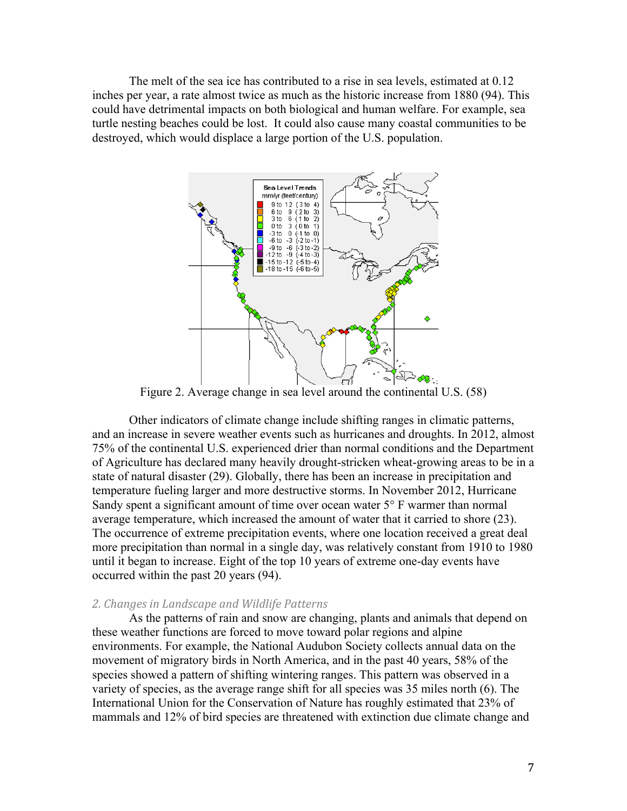The melt of the sea ice has contributed to a rise in sea levels, estimated at 0.12 inches per year, a rate almost twice as much as the historic increase from 1880 (94). This could have detrimental impacts on both biological and human welfare. For example, sea turtle nesting beaches could be lost. It could also cause many coastal communities to be destroyed, which would displace a large portion of the U.S. population.



Figure 2. Average change in sea level around the continental U.S. (58)

Other indicators of climate change include shifting ranges in climatic patterns, and an increase in severe weather events such as hurricanes and droughts. In 2012, almost 75% of the continental U.S. experienced drier than normal conditions and the Department of Agriculture has declared many heavily drought-stricken wheat-growing areas to be in a state of natural disaster (29). Globally, there has been an increase in precipitation and temperature fueling larger and more destructive storms. In November 2012, Hurricane Sandy spent a significant amount of time over ocean water 5° F warmer than normal average temperature, which increased the amount of water that it carried to shore (23). The occurrence of extreme precipitation events, where one location received a great deal more precipitation than normal in a single day, was relatively constant from 1910 to 1980 until it began to increase. Eight of the top 10 years of extreme one-day events have occurred within the past 20 years (94).

#### 2. Changes in Landscape and Wildlife Patterns

As the patterns of rain and snow are changing, plants and animals that depend on these weather functions are forced to move toward polar regions and alpine environments. For example, the National Audubon Society collects annual data on the movement of migratory birds in North America, and in the past 40 years, 58% of the species showed a pattern of shifting wintering ranges. This pattern was observed in a variety of species, as the average range shift for all species was 35 miles north (6). The International Union for the Conservation of Nature has roughly estimated that 23% of mammals and 12% of bird species are threatened with extinction due climate change and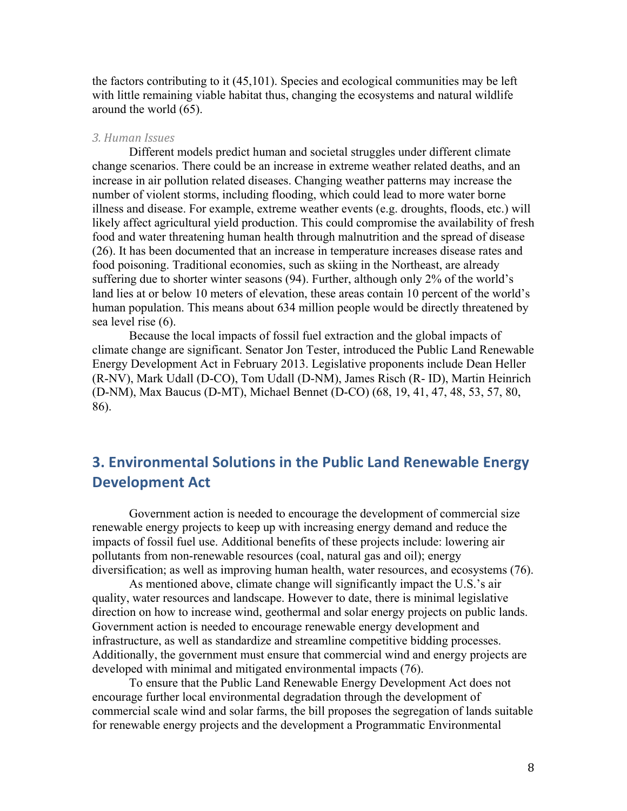the factors contributing to it (45,101). Species and ecological communities may be left with little remaining viable habitat thus, changing the ecosystems and natural wildlife around the world (65).

#### *3.#Human#Issues*

Different models predict human and societal struggles under different climate change scenarios. There could be an increase in extreme weather related deaths, and an increase in air pollution related diseases. Changing weather patterns may increase the number of violent storms, including flooding, which could lead to more water borne illness and disease. For example, extreme weather events (e.g. droughts, floods, etc.) will likely affect agricultural yield production. This could compromise the availability of fresh food and water threatening human health through malnutrition and the spread of disease (26). It has been documented that an increase in temperature increases disease rates and food poisoning. Traditional economies, such as skiing in the Northeast, are already suffering due to shorter winter seasons (94). Further, although only 2% of the world's land lies at or below 10 meters of elevation, these areas contain 10 percent of the world's human population. This means about 634 million people would be directly threatened by sea level rise (6).

Because the local impacts of fossil fuel extraction and the global impacts of climate change are significant. Senator Jon Tester, introduced the Public Land Renewable Energy Development Act in February 2013. Legislative proponents include Dean Heller (R-NV), Mark Udall (D-CO), Tom Udall (D-NM), James Risch (R- ID), Martin Heinrich (D-NM), Max Baucus (D-MT), Michael Bennet (D-CO) (68, 19, 41, 47, 48, 53, 57, 80, 86).

## **3. Environmental Solutions in the Public Land Renewable Energy Development Act**

Government action is needed to encourage the development of commercial size renewable energy projects to keep up with increasing energy demand and reduce the impacts of fossil fuel use. Additional benefits of these projects include: lowering air pollutants from non-renewable resources (coal, natural gas and oil); energy diversification; as well as improving human health, water resources, and ecosystems (76).

As mentioned above, climate change will significantly impact the U.S.'s air quality, water resources and landscape. However to date, there is minimal legislative direction on how to increase wind, geothermal and solar energy projects on public lands. Government action is needed to encourage renewable energy development and infrastructure, as well as standardize and streamline competitive bidding processes. Additionally, the government must ensure that commercial wind and energy projects are developed with minimal and mitigated environmental impacts (76).

To ensure that the Public Land Renewable Energy Development Act does not encourage further local environmental degradation through the development of commercial scale wind and solar farms, the bill proposes the segregation of lands suitable for renewable energy projects and the development a Programmatic Environmental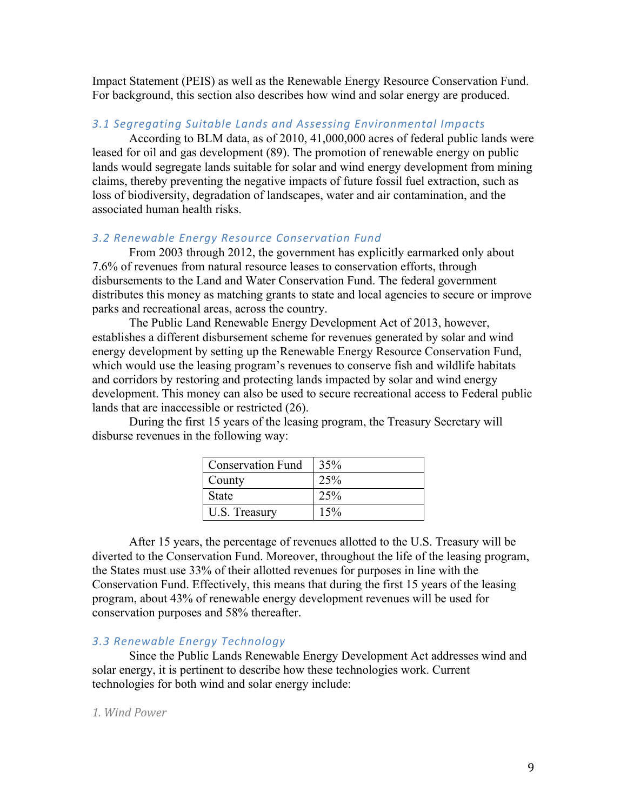Impact Statement (PEIS) as well as the Renewable Energy Resource Conservation Fund. For background, this section also describes how wind and solar energy are produced.

#### *3.1\$Segregating\$Suitable\$Lands\$and\$Assessing\$Environmental\$Impacts*

According to BLM data, as of 2010, 41,000,000 acres of federal public lands were leased for oil and gas development (89). The promotion of renewable energy on public lands would segregate lands suitable for solar and wind energy development from mining claims, thereby preventing the negative impacts of future fossil fuel extraction, such as loss of biodiversity, degradation of landscapes, water and air contamination, and the associated human health risks.

#### **3.2 Renewable Energy Resource Conservation Fund**

From 2003 through 2012, the government has explicitly earmarked only about 7.6% of revenues from natural resource leases to conservation efforts, through disbursements to the Land and Water Conservation Fund. The federal government distributes this money as matching grants to state and local agencies to secure or improve parks and recreational areas, across the country.

The Public Land Renewable Energy Development Act of 2013, however, establishes a different disbursement scheme for revenues generated by solar and wind energy development by setting up the Renewable Energy Resource Conservation Fund, which would use the leasing program's revenues to conserve fish and wildlife habitats and corridors by restoring and protecting lands impacted by solar and wind energy development. This money can also be used to secure recreational access to Federal public lands that are inaccessible or restricted (26).

During the first 15 years of the leasing program, the Treasury Secretary will disburse revenues in the following way:

| <b>Conservation Fund</b> | 35% |
|--------------------------|-----|
| County                   | 25% |
| State                    | 25% |
| U.S. Treasury            | 15% |

After 15 years, the percentage of revenues allotted to the U.S. Treasury will be diverted to the Conservation Fund. Moreover, throughout the life of the leasing program, the States must use 33% of their allotted revenues for purposes in line with the Conservation Fund. Effectively, this means that during the first 15 years of the leasing program, about 43% of renewable energy development revenues will be used for conservation purposes and 58% thereafter.

#### *3.3 Renewable\$Energy\$Technology*

Since the Public Lands Renewable Energy Development Act addresses wind and solar energy, it is pertinent to describe how these technologies work. Current technologies for both wind and solar energy include:

#### 1. Wind Power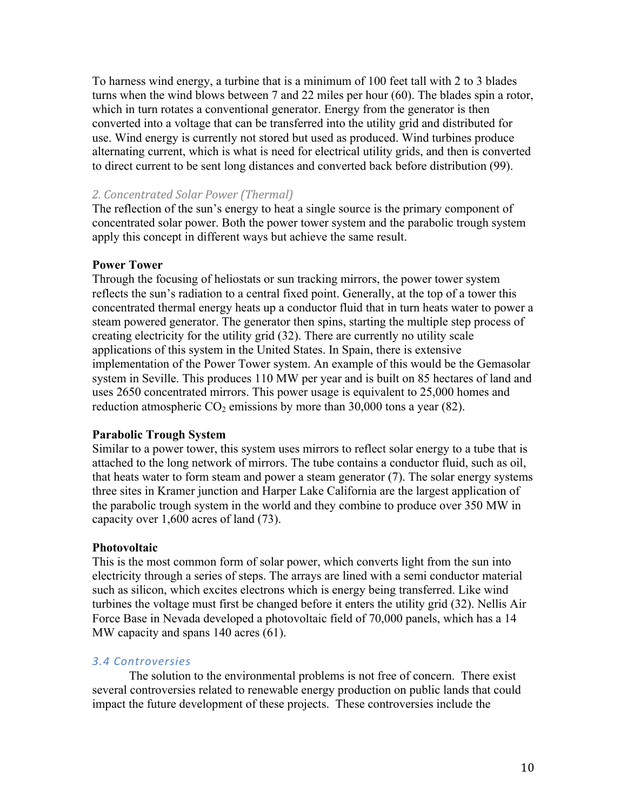To harness wind energy, a turbine that is a minimum of 100 feet tall with 2 to 3 blades turns when the wind blows between 7 and 22 miles per hour (60). The blades spin a rotor, which in turn rotates a conventional generator. Energy from the generator is then converted into a voltage that can be transferred into the utility grid and distributed for use. Wind energy is currently not stored but used as produced. Wind turbines produce alternating current, which is what is need for electrical utility grids, and then is converted to direct current to be sent long distances and converted back before distribution (99).

## *2.#Concentrated#Solar#Power#(Thermal)*

The reflection of the sun's energy to heat a single source is the primary component of concentrated solar power. Both the power tower system and the parabolic trough system apply this concept in different ways but achieve the same result.

### **Power Tower**

Through the focusing of heliostats or sun tracking mirrors, the power tower system reflects the sun's radiation to a central fixed point. Generally, at the top of a tower this concentrated thermal energy heats up a conductor fluid that in turn heats water to power a steam powered generator. The generator then spins, starting the multiple step process of creating electricity for the utility grid (32). There are currently no utility scale applications of this system in the United States. In Spain, there is extensive implementation of the Power Tower system. An example of this would be the Gemasolar system in Seville. This produces 110 MW per year and is built on 85 hectares of land and uses 2650 concentrated mirrors. This power usage is equivalent to 25,000 homes and reduction atmospheric  $CO_2$  emissions by more than 30,000 tons a year (82).

### **Parabolic Trough System**

Similar to a power tower, this system uses mirrors to reflect solar energy to a tube that is attached to the long network of mirrors. The tube contains a conductor fluid, such as oil, that heats water to form steam and power a steam generator (7). The solar energy systems three sites in Kramer junction and Harper Lake California are the largest application of the parabolic trough system in the world and they combine to produce over 350 MW in capacity over 1,600 acres of land (73).

### **Photovoltaic**

This is the most common form of solar power, which converts light from the sun into electricity through a series of steps. The arrays are lined with a semi conductor material such as silicon, which excites electrons which is energy being transferred. Like wind turbines the voltage must first be changed before it enters the utility grid (32). Nellis Air Force Base in Nevada developed a photovoltaic field of 70,000 panels, which has a 14 MW capacity and spans 140 acres (61).

### *3.4 Controversies*

The solution to the environmental problems is not free of concern. There exist several controversies related to renewable energy production on public lands that could impact the future development of these projects. These controversies include the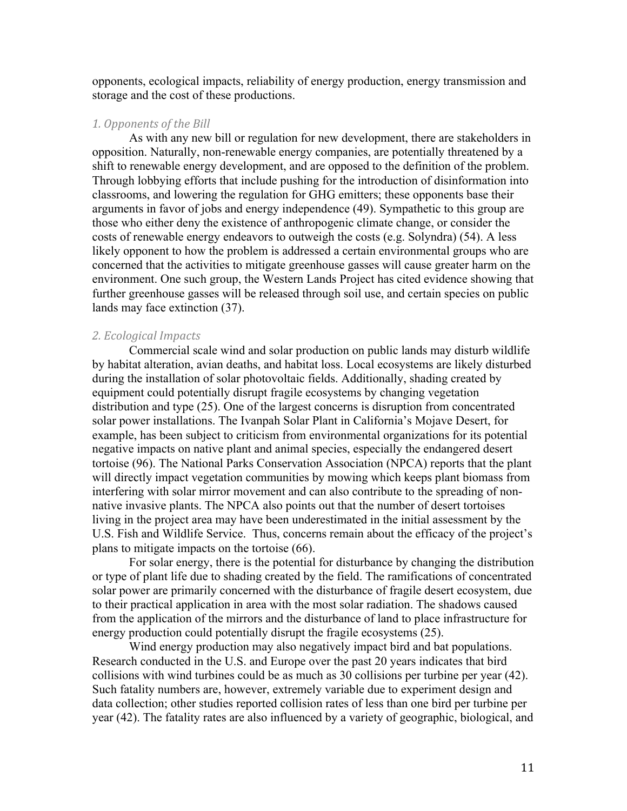opponents, ecological impacts, reliability of energy production, energy transmission and storage and the cost of these productions.

#### 1. Opponents of the Bill

As with any new bill or regulation for new development, there are stakeholders in opposition. Naturally, non-renewable energy companies, are potentially threatened by a shift to renewable energy development, and are opposed to the definition of the problem. Through lobbying efforts that include pushing for the introduction of disinformation into classrooms, and lowering the regulation for GHG emitters; these opponents base their arguments in favor of jobs and energy independence (49). Sympathetic to this group are those who either deny the existence of anthropogenic climate change, or consider the costs of renewable energy endeavors to outweigh the costs (e.g. Solyndra) (54). A less likely opponent to how the problem is addressed a certain environmental groups who are concerned that the activities to mitigate greenhouse gasses will cause greater harm on the environment. One such group, the Western Lands Project has cited evidence showing that further greenhouse gasses will be released through soil use, and certain species on public lands may face extinction (37).

#### **2. Ecological Impacts**

Commercial scale wind and solar production on public lands may disturb wildlife by habitat alteration, avian deaths, and habitat loss. Local ecosystems are likely disturbed during the installation of solar photovoltaic fields. Additionally, shading created by equipment could potentially disrupt fragile ecosystems by changing vegetation distribution and type (25). One of the largest concerns is disruption from concentrated solar power installations. The Ivanpah Solar Plant in California's Mojave Desert, for example, has been subject to criticism from environmental organizations for its potential negative impacts on native plant and animal species, especially the endangered desert tortoise (96). The National Parks Conservation Association (NPCA) reports that the plant will directly impact vegetation communities by mowing which keeps plant biomass from interfering with solar mirror movement and can also contribute to the spreading of nonnative invasive plants. The NPCA also points out that the number of desert tortoises living in the project area may have been underestimated in the initial assessment by the U.S. Fish and Wildlife Service. Thus, concerns remain about the efficacy of the project's plans to mitigate impacts on the tortoise (66).

For solar energy, there is the potential for disturbance by changing the distribution or type of plant life due to shading created by the field. The ramifications of concentrated solar power are primarily concerned with the disturbance of fragile desert ecosystem, due to their practical application in area with the most solar radiation. The shadows caused from the application of the mirrors and the disturbance of land to place infrastructure for energy production could potentially disrupt the fragile ecosystems (25).

Wind energy production may also negatively impact bird and bat populations. Research conducted in the U.S. and Europe over the past 20 years indicates that bird collisions with wind turbines could be as much as 30 collisions per turbine per year (42). Such fatality numbers are, however, extremely variable due to experiment design and data collection; other studies reported collision rates of less than one bird per turbine per year (42). The fatality rates are also influenced by a variety of geographic, biological, and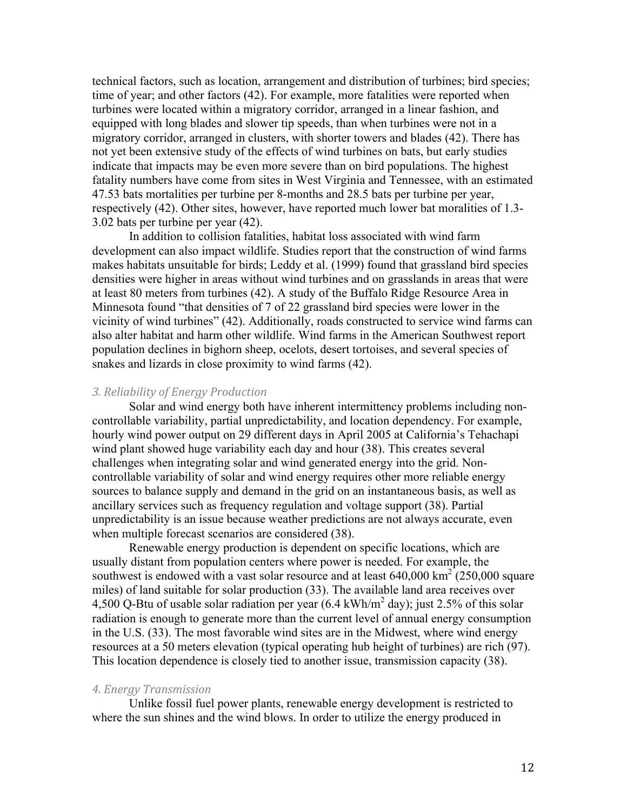technical factors, such as location, arrangement and distribution of turbines; bird species; time of year; and other factors (42). For example, more fatalities were reported when turbines were located within a migratory corridor, arranged in a linear fashion, and equipped with long blades and slower tip speeds, than when turbines were not in a migratory corridor, arranged in clusters, with shorter towers and blades (42). There has not yet been extensive study of the effects of wind turbines on bats, but early studies indicate that impacts may be even more severe than on bird populations. The highest fatality numbers have come from sites in West Virginia and Tennessee, with an estimated 47.53 bats mortalities per turbine per 8-months and 28.5 bats per turbine per year, respectively (42). Other sites, however, have reported much lower bat moralities of 1.3- 3.02 bats per turbine per year (42).

In addition to collision fatalities, habitat loss associated with wind farm development can also impact wildlife. Studies report that the construction of wind farms makes habitats unsuitable for birds; Leddy et al. (1999) found that grassland bird species densities were higher in areas without wind turbines and on grasslands in areas that were at least 80 meters from turbines (42). A study of the Buffalo Ridge Resource Area in Minnesota found "that densities of 7 of 22 grassland bird species were lower in the vicinity of wind turbines" (42). Additionally, roads constructed to service wind farms can also alter habitat and harm other wildlife. Wind farms in the American Southwest report population declines in bighorn sheep, ocelots, desert tortoises, and several species of snakes and lizards in close proximity to wind farms (42).

#### 3. Reliability of Energy Production

Solar and wind energy both have inherent intermittency problems including noncontrollable variability, partial unpredictability, and location dependency. For example, hourly wind power output on 29 different days in April 2005 at California's Tehachapi wind plant showed huge variability each day and hour (38). This creates several challenges when integrating solar and wind generated energy into the grid. Noncontrollable variability of solar and wind energy requires other more reliable energy sources to balance supply and demand in the grid on an instantaneous basis, as well as ancillary services such as frequency regulation and voltage support (38). Partial unpredictability is an issue because weather predictions are not always accurate, even when multiple forecast scenarios are considered (38).

Renewable energy production is dependent on specific locations, which are usually distant from population centers where power is needed. For example, the southwest is endowed with a vast solar resource and at least  $640,000 \text{ km}^2 (250,000 \text{ square})$ miles) of land suitable for solar production (33). The available land area receives over 4,500 Q-Btu of usable solar radiation per year  $(6.4 \text{ kWh/m}^2 \text{ day})$ ; just 2.5% of this solar radiation is enough to generate more than the current level of annual energy consumption in the U.S. (33). The most favorable wind sites are in the Midwest, where wind energy resources at a 50 meters elevation (typical operating hub height of turbines) are rich (97). This location dependence is closely tied to another issue, transmission capacity (38).

#### **4. Energy Transmission**

Unlike fossil fuel power plants, renewable energy development is restricted to where the sun shines and the wind blows. In order to utilize the energy produced in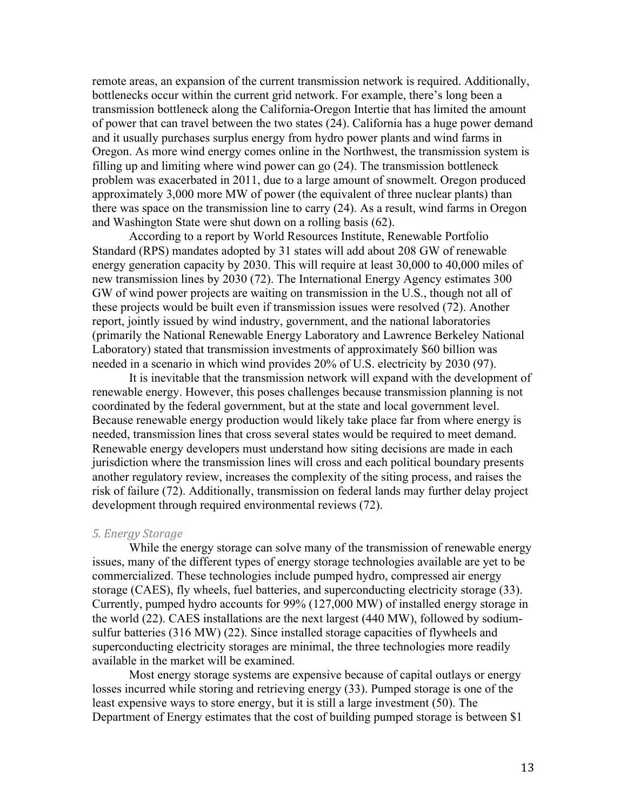remote areas, an expansion of the current transmission network is required. Additionally, bottlenecks occur within the current grid network. For example, there's long been a transmission bottleneck along the California-Oregon Intertie that has limited the amount of power that can travel between the two states (24). California has a huge power demand and it usually purchases surplus energy from hydro power plants and wind farms in Oregon. As more wind energy comes online in the Northwest, the transmission system is filling up and limiting where wind power can go (24). The transmission bottleneck problem was exacerbated in 2011, due to a large amount of snowmelt. Oregon produced approximately 3,000 more MW of power (the equivalent of three nuclear plants) than there was space on the transmission line to carry (24). As a result, wind farms in Oregon and Washington State were shut down on a rolling basis (62).

According to a report by World Resources Institute, Renewable Portfolio Standard (RPS) mandates adopted by 31 states will add about 208 GW of renewable energy generation capacity by 2030. This will require at least 30,000 to 40,000 miles of new transmission lines by 2030 (72). The International Energy Agency estimates 300 GW of wind power projects are waiting on transmission in the U.S., though not all of these projects would be built even if transmission issues were resolved (72). Another report, jointly issued by wind industry, government, and the national laboratories (primarily the National Renewable Energy Laboratory and Lawrence Berkeley National Laboratory) stated that transmission investments of approximately \$60 billion was needed in a scenario in which wind provides 20% of U.S. electricity by 2030 (97).

It is inevitable that the transmission network will expand with the development of renewable energy. However, this poses challenges because transmission planning is not coordinated by the federal government, but at the state and local government level. Because renewable energy production would likely take place far from where energy is needed, transmission lines that cross several states would be required to meet demand. Renewable energy developers must understand how siting decisions are made in each jurisdiction where the transmission lines will cross and each political boundary presents another regulatory review, increases the complexity of the siting process, and raises the risk of failure (72). Additionally, transmission on federal lands may further delay project development through required environmental reviews (72).

#### **5. Energy Storage**

While the energy storage can solve many of the transmission of renewable energy issues, many of the different types of energy storage technologies available are yet to be commercialized. These technologies include pumped hydro, compressed air energy storage (CAES), fly wheels, fuel batteries, and superconducting electricity storage (33). Currently, pumped hydro accounts for 99% (127,000 MW) of installed energy storage in the world (22). CAES installations are the next largest (440 MW), followed by sodiumsulfur batteries (316 MW) (22). Since installed storage capacities of flywheels and superconducting electricity storages are minimal, the three technologies more readily available in the market will be examined.

Most energy storage systems are expensive because of capital outlays or energy losses incurred while storing and retrieving energy (33). Pumped storage is one of the least expensive ways to store energy, but it is still a large investment (50). The Department of Energy estimates that the cost of building pumped storage is between \$1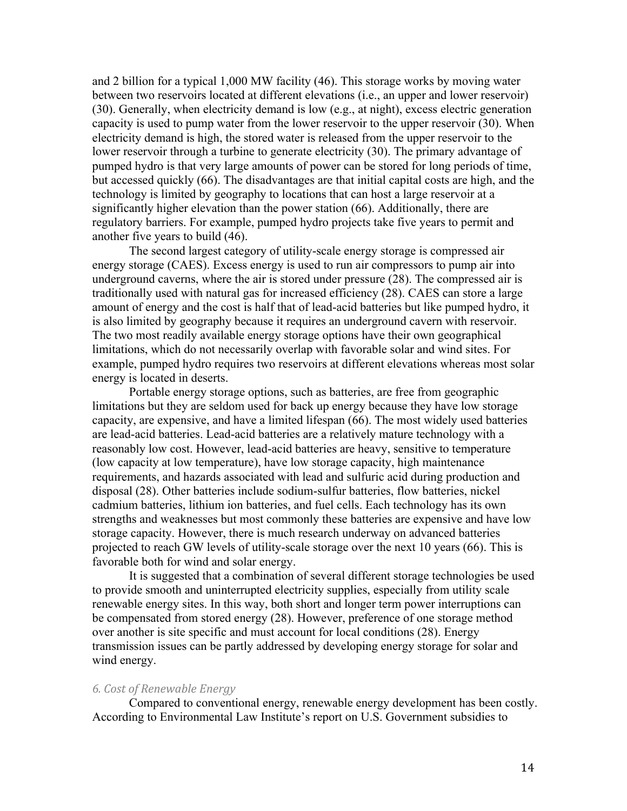and 2 billion for a typical 1,000 MW facility (46). This storage works by moving water between two reservoirs located at different elevations (i.e., an upper and lower reservoir) (30). Generally, when electricity demand is low (e.g., at night), excess electric generation capacity is used to pump water from the lower reservoir to the upper reservoir (30). When electricity demand is high, the stored water is released from the upper reservoir to the lower reservoir through a turbine to generate electricity (30). The primary advantage of pumped hydro is that very large amounts of power can be stored for long periods of time, but accessed quickly (66). The disadvantages are that initial capital costs are high, and the technology is limited by geography to locations that can host a large reservoir at a significantly higher elevation than the power station (66). Additionally, there are regulatory barriers. For example, pumped hydro projects take five years to permit and another five years to build (46).

The second largest category of utility-scale energy storage is compressed air energy storage (CAES). Excess energy is used to run air compressors to pump air into underground caverns, where the air is stored under pressure (28). The compressed air is traditionally used with natural gas for increased efficiency (28). CAES can store a large amount of energy and the cost is half that of lead-acid batteries but like pumped hydro, it is also limited by geography because it requires an underground cavern with reservoir. The two most readily available energy storage options have their own geographical limitations, which do not necessarily overlap with favorable solar and wind sites. For example, pumped hydro requires two reservoirs at different elevations whereas most solar energy is located in deserts.

Portable energy storage options, such as batteries, are free from geographic limitations but they are seldom used for back up energy because they have low storage capacity, are expensive, and have a limited lifespan (66). The most widely used batteries are lead-acid batteries. Lead-acid batteries are a relatively mature technology with a reasonably low cost. However, lead-acid batteries are heavy, sensitive to temperature (low capacity at low temperature), have low storage capacity, high maintenance requirements, and hazards associated with lead and sulfuric acid during production and disposal (28). Other batteries include sodium-sulfur batteries, flow batteries, nickel cadmium batteries, lithium ion batteries, and fuel cells. Each technology has its own strengths and weaknesses but most commonly these batteries are expensive and have low storage capacity. However, there is much research underway on advanced batteries projected to reach GW levels of utility-scale storage over the next 10 years (66). This is favorable both for wind and solar energy.

It is suggested that a combination of several different storage technologies be used to provide smooth and uninterrupted electricity supplies, especially from utility scale renewable energy sites. In this way, both short and longer term power interruptions can be compensated from stored energy (28). However, preference of one storage method over another is site specific and must account for local conditions (28). Energy transmission issues can be partly addressed by developing energy storage for solar and wind energy.

### **6. Cost of Renewable Energy**

Compared to conventional energy, renewable energy development has been costly. According to Environmental Law Institute's report on U.S. Government subsidies to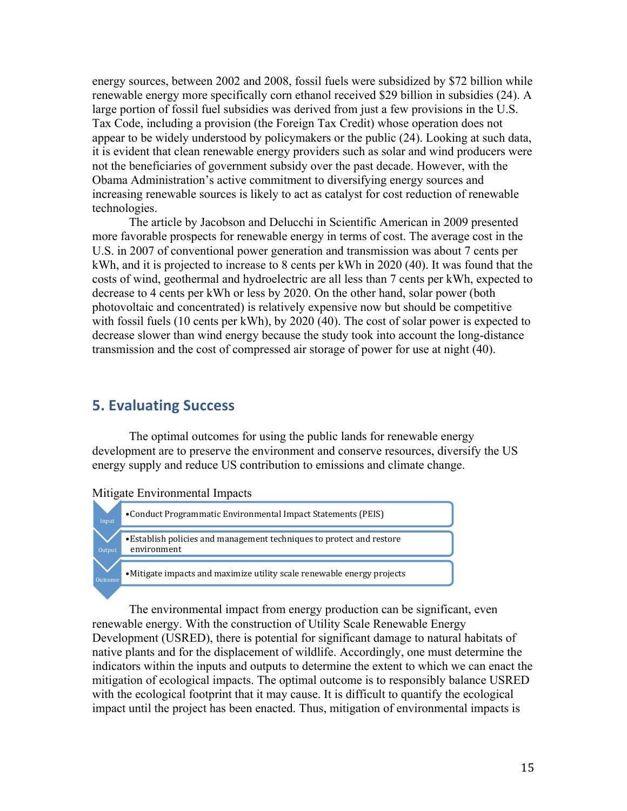energy sources, between 2002 and 2008, fossil fuels were subsidized by \$72 billion while renewable energy more specifically corn ethanol received \$29 billion in subsidies (24). A large portion of fossil fuel subsidies was derived from just a few provisions in the U.S. Tax Code, including a provision (the Foreign Tax Credit) whose operation does not appear to be widely understood by policymakers or the public (24). Looking at such data, it is evident that clean renewable energy providers such as solar and wind producers were not the beneficiaries of government subsidy over the past decade. However, with the Obama Administration's active commitment to diversifying energy sources and increasing renewable sources is likely to act as catalyst for cost reduction of renewable technologies.

The article by Jacobson and Delucchi in Scientific American in 2009 presented more favorable prospects for renewable energy in terms of cost. The average cost in the U.S. in 2007 of conventional power generation and transmission was about 7 cents per kWh, and it is projected to increase to 8 cents per kWh in 2020 (40). It was found that the costs of wind, geothermal and hydroelectric are all less than 7 cents per kWh, expected to decrease to 4 cents per kWh or less by 2020. On the other hand, solar power (both photovoltaic and concentrated) is relatively expensive now but should be competitive with fossil fuels (10 cents per kWh), by 2020 (40). The cost of solar power is expected to decrease slower than wind energy because the study took into account the long-distance transmission and the cost of compressed air storage of power for use at night (40).

# **5. Evaluating Success**

The optimal outcomes for using the public lands for renewable energy development are to preserve the environment and conserve resources, diversify the US energy supply and reduce US contribution to emissions and climate change.

Mitigate Environmental Impacts



The environmental impact from energy production can be significant, even renewable energy. With the construction of Utility Scale Renewable Energy Development (USRED), there is potential for significant damage to natural habitats of native plants and for the displacement of wildlife. Accordingly, one must determine the indicators within the inputs and outputs to determine the extent to which we can enact the mitigation of ecological impacts. The optimal outcome is to responsibly balance USRED with the ecological footprint that it may cause. It is difficult to quantify the ecological impact until the project has been enacted. Thus, mitigation of environmental impacts is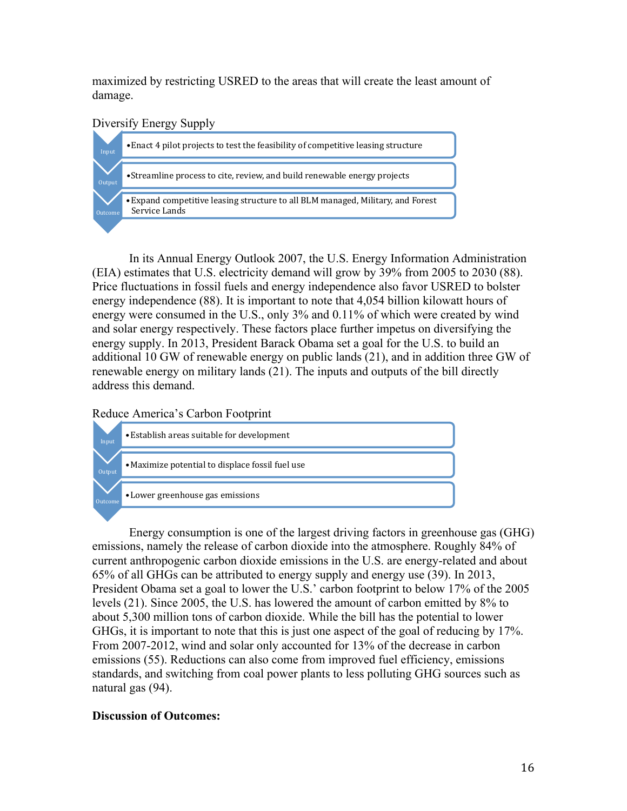maximized by restricting USRED to the areas that will create the least amount of damage.

## Diversify Energy Supply



In its Annual Energy Outlook 2007, the U.S. Energy Information Administration (EIA) estimates that U.S. electricity demand will grow by 39% from 2005 to 2030 (88). Price fluctuations in fossil fuels and energy independence also favor USRED to bolster energy independence (88). It is important to note that 4,054 billion kilowatt hours of energy were consumed in the U.S., only 3% and 0.11% of which were created by wind and solar energy respectively. These factors place further impetus on diversifying the energy supply. In 2013, President Barack Obama set a goal for the U.S. to build an additional 10 GW of renewable energy on public lands (21), and in addition three GW of renewable energy on military lands (21). The inputs and outputs of the bill directly address this demand.

Reduce America's Carbon Footprint



Energy consumption is one of the largest driving factors in greenhouse gas (GHG) emissions, namely the release of carbon dioxide into the atmosphere. Roughly 84% of current anthropogenic carbon dioxide emissions in the U.S. are energy-related and about 65% of all GHGs can be attributed to energy supply and energy use (39). In 2013, President Obama set a goal to lower the U.S.' carbon footprint to below 17% of the 2005 levels (21). Since 2005, the U.S. has lowered the amount of carbon emitted by 8% to about 5,300 million tons of carbon dioxide. While the bill has the potential to lower GHGs, it is important to note that this is just one aspect of the goal of reducing by 17%. From 2007-2012, wind and solar only accounted for 13% of the decrease in carbon emissions (55). Reductions can also come from improved fuel efficiency, emissions standards, and switching from coal power plants to less polluting GHG sources such as natural gas (94).

## **Discussion of Outcomes:**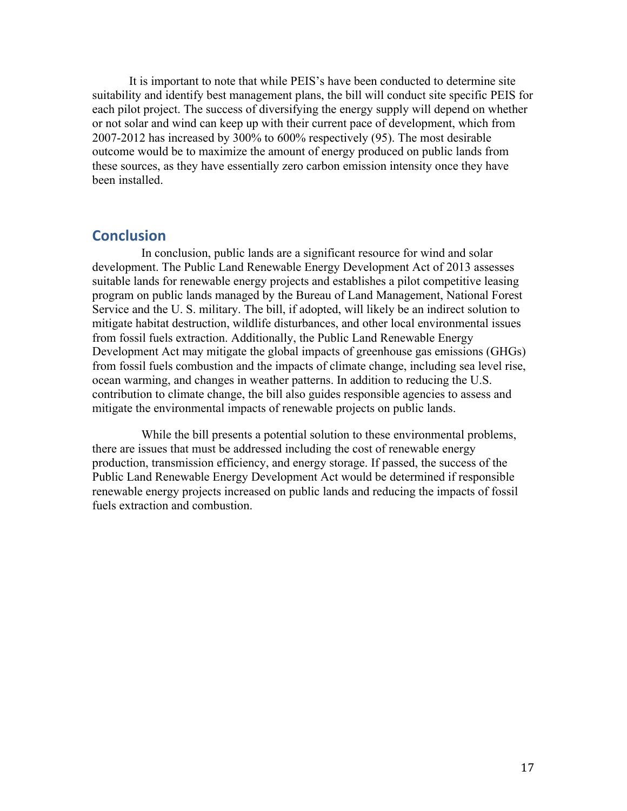It is important to note that while PEIS's have been conducted to determine site suitability and identify best management plans, the bill will conduct site specific PEIS for each pilot project. The success of diversifying the energy supply will depend on whether or not solar and wind can keep up with their current pace of development, which from 2007-2012 has increased by 300% to 600% respectively (95). The most desirable outcome would be to maximize the amount of energy produced on public lands from these sources, as they have essentially zero carbon emission intensity once they have been installed.

## **Conclusion**

In conclusion, public lands are a significant resource for wind and solar development. The Public Land Renewable Energy Development Act of 2013 assesses suitable lands for renewable energy projects and establishes a pilot competitive leasing program on public lands managed by the Bureau of Land Management, National Forest Service and the U. S. military. The bill, if adopted, will likely be an indirect solution to mitigate habitat destruction, wildlife disturbances, and other local environmental issues from fossil fuels extraction. Additionally, the Public Land Renewable Energy Development Act may mitigate the global impacts of greenhouse gas emissions (GHGs) from fossil fuels combustion and the impacts of climate change, including sea level rise, ocean warming, and changes in weather patterns. In addition to reducing the U.S. contribution to climate change, the bill also guides responsible agencies to assess and mitigate the environmental impacts of renewable projects on public lands.

While the bill presents a potential solution to these environmental problems, there are issues that must be addressed including the cost of renewable energy production, transmission efficiency, and energy storage. If passed, the success of the Public Land Renewable Energy Development Act would be determined if responsible renewable energy projects increased on public lands and reducing the impacts of fossil fuels extraction and combustion.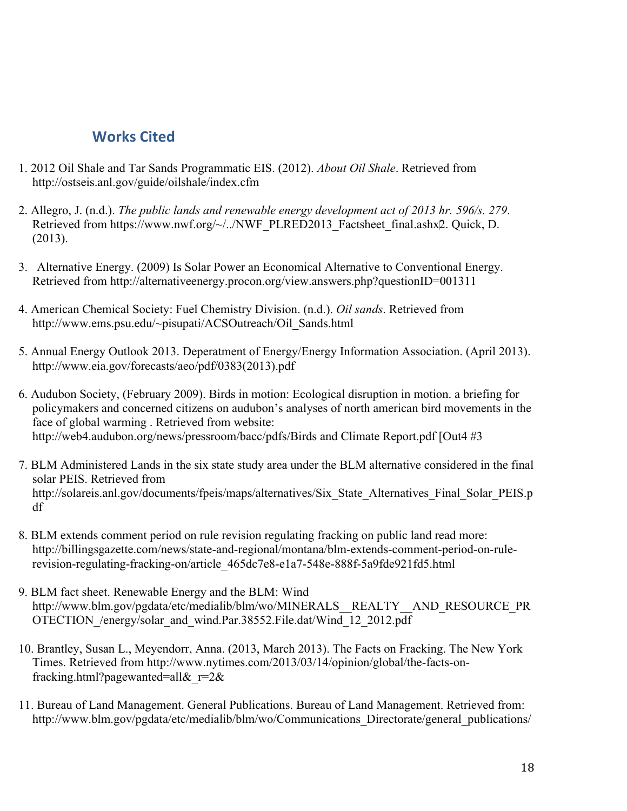## **Works Cited**

- 1. 2012 Oil Shale and Tar Sands Programmatic EIS. (2012). *About Oil Shale*. Retrieved from http://ostseis.anl.gov/guide/oilshale/index.cfm
- 2. Allegro, J. (n.d.). *The public lands and renewable energy development act of 2013 hr. 596/s. 279*. Retrieved from https://www.nwf.org/~/../NWF\_PLRED2013\_Factsheet\_final.ashx<sub>2</sub>. Quick, D. (2013).
- 3. Alternative Energy. (2009) Is Solar Power an Economical Alternative to Conventional Energy. Retrieved from http://alternativeenergy.procon.org/view.answers.php?questionID=001311
- 4. American Chemical Society: Fuel Chemistry Division. (n.d.). *Oil sands*. Retrieved from http://www.ems.psu.edu/~pisupati/ACSOutreach/Oil\_Sands.html
- 5. Annual Energy Outlook 2013. Deperatment of Energy/Energy Information Association. (April 2013). http://www.eia.gov/forecasts/aeo/pdf/0383(2013).pdf
- 6. Audubon Society, (February 2009). Birds in motion: Ecological disruption in motion. a briefing for policymakers and concerned citizens on audubon's analyses of north american bird movements in the face of global warming . Retrieved from website: http://web4.audubon.org/news/pressroom/bacc/pdfs/Birds and Climate Report.pdf [Out4 #3]
- 7. BLM Administered Lands in the six state study area under the BLM alternative considered in the final solar PEIS. Retrieved from http://solareis.anl.gov/documents/fpeis/maps/alternatives/Six\_State\_Alternatives\_Final\_Solar\_PEIS.p df
- 8. BLM extends comment period on rule revision regulating fracking on public land read more: http://billingsgazette.com/news/state-and-regional/montana/blm-extends-comment-period-on-rulerevision-regulating-fracking-on/article\_465dc7e8-e1a7-548e-888f-5a9fde921fd5.html
- 9. BLM fact sheet. Renewable Energy and the BLM: Wind http://www.blm.gov/pgdata/etc/medialib/blm/wo/MINERALS\_\_REALTY\_\_AND\_RESOURCE\_PR OTECTION\_/energy/solar\_and\_wind.Par.38552.File.dat/Wind\_12\_2012.pdf
- 10. Brantley, Susan L., Meyendorr, Anna. (2013, March 2013). The Facts on Fracking. The New York Times. Retrieved from http://www.nytimes.com/2013/03/14/opinion/global/the-facts-onfracking.html?pagewanted=all& $r=2$ &
- 11. Bureau of Land Management. General Publications. Bureau of Land Management. Retrieved from: http://www.blm.gov/pgdata/etc/medialib/blm/wo/Communications Directorate/general publications/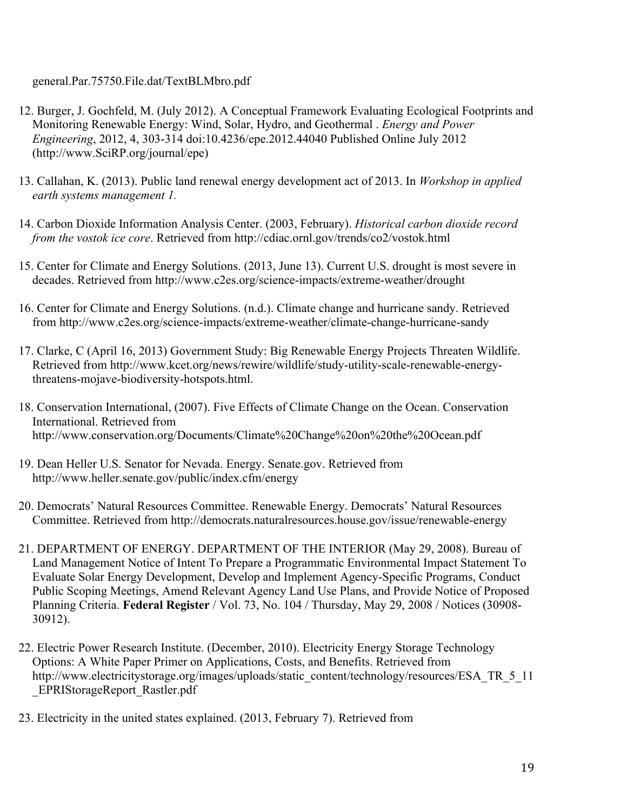general.Par.75750.File.dat/TextBLMbro.pdf

- 12. Burger, J. Gochfeld, M. (July 2012). A Conceptual Framework Evaluating Ecological Footprints and Monitoring Renewable Energy: Wind, Solar, Hydro, and Geothermal . *Energy and Power Engineering*, 2012, 4, 303-314 doi:10.4236/epe.2012.44040 Published Online July 2012 (http://www.SciRP.org/journal/epe)
- 13. Callahan, K. (2013). Public land renewal energy development act of 2013. In *Workshop in applied earth systems management 1.*
- 14. Carbon Dioxide Information Analysis Center. (2003, February). *Historical carbon dioxide record from the vostok ice core*. Retrieved from http://cdiac.ornl.gov/trends/co2/vostok.html
- 15. Center for Climate and Energy Solutions. (2013, June 13). Current U.S. drought is most severe in decades. Retrieved from http://www.c2es.org/science-impacts/extreme-weather/drought
- 16. Center for Climate and Energy Solutions. (n.d.). Climate change and hurricane sandy. Retrieved from http://www.c2es.org/science-impacts/extreme-weather/climate-change-hurricane-sandy
- 17. Clarke, C (April 16, 2013) Government Study: Big Renewable Energy Projects Threaten Wildlife. Retrieved from http://www.kcet.org/news/rewire/wildlife/study-utility-scale-renewable-energythreatens-mojave-biodiversity-hotspots.html.
- 18. Conservation International, (2007). Five Effects of Climate Change on the Ocean. Conservation International. Retrieved from http://www.conservation.org/Documents/Climate%20Change%20on%20the%20Ocean.pdf
- 19. Dean Heller U.S. Senator for Nevada. Energy. Senate.gov. Retrieved from http://www.heller.senate.gov/public/index.cfm/energy
- 20. Democrats' Natural Resources Committee. Renewable Energy. Democrats' Natural Resources Committee. Retrieved from http://democrats.naturalresources.house.gov/issue/renewable-energy
- 21. DEPARTMENT OF ENERGY. DEPARTMENT OF THE INTERIOR (May 29, 2008). Bureau of Land Management Notice of Intent To Prepare a Programmatic Environmental Impact Statement To Evaluate Solar Energy Development, Develop and Implement Agency-Specific Programs, Conduct Public Scoping Meetings, Amend Relevant Agency Land Use Plans, and Provide Notice of Proposed Planning Criteria. **Federal Register** / Vol. 73, No. 104 / Thursday, May 29, 2008 / Notices (30908- 30912).
- 22. Electric Power Research Institute. (December, 2010). Electricity Energy Storage Technology Options: A White Paper Primer on Applications, Costs, and Benefits. Retrieved from http://www.electricitystorage.org/images/uploads/static\_content/technology/resources/ESA\_TR\_5\_11 \_EPRIStorageReport\_Rastler.pdf
- 23. Electricity in the united states explained. (2013, February 7). Retrieved from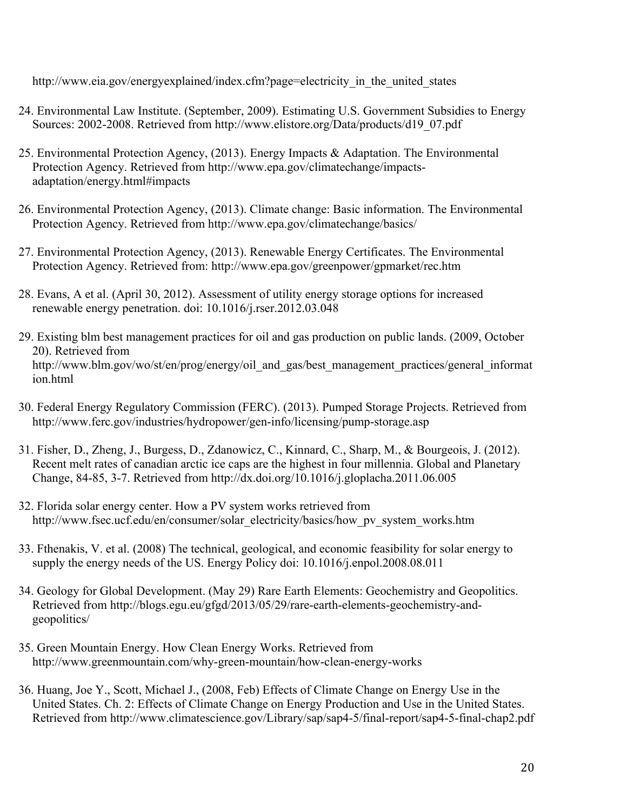http://www.eia.gov/energyexplained/index.cfm?page=electricity in the united states

- 24. Environmental Law Institute. (September, 2009). Estimating U.S. Government Subsidies to Energy Sources: 2002-2008. Retrieved from http://www.elistore.org/Data/products/d19\_07.pdf
- 25. Environmental Protection Agency, (2013). Energy Impacts & Adaptation. The Environmental Protection Agency. Retrieved from http://www.epa.gov/climatechange/impactsadaptation/energy.html#impacts
- 26. Environmental Protection Agency, (2013). Climate change: Basic information. The Environmental Protection Agency. Retrieved from http://www.epa.gov/climatechange/basics/
- 27. Environmental Protection Agency, (2013). Renewable Energy Certificates. The Environmental Protection Agency. Retrieved from: http://www.epa.gov/greenpower/gpmarket/rec.htm
- 28. Evans, A et al. (April 30, 2012). Assessment of utility energy storage options for increased renewable energy penetration. doi: 10.1016/j.rser.2012.03.048
- 29. Existing blm best management practices for oil and gas production on public lands. (2009, October 20). Retrieved from http://www.blm.gov/wo/st/en/prog/energy/oil\_and\_gas/best\_management\_practices/general\_informat ion.html
- 30. Federal Energy Regulatory Commission (FERC). (2013). Pumped Storage Projects. Retrieved from http://www.ferc.gov/industries/hydropower/gen-info/licensing/pump-storage.asp
- 31. Fisher, D., Zheng, J., Burgess, D., Zdanowicz, C., Kinnard, C., Sharp, M., & Bourgeois, J. (2012). Recent melt rates of canadian arctic ice caps are the highest in four millennia. Global and Planetary Change, 84-85, 3-7. Retrieved from http://dx.doi.org/10.1016/j.gloplacha.2011.06.005
- 32. Florida solar energy center. How a PV system works retrieved from http://www.fsec.ucf.edu/en/consumer/solar\_electricity/basics/how\_pv\_system\_works.htm
- 33. Fthenakis, V. et al. (2008) The technical, geological, and economic feasibility for solar energy to supply the energy needs of the US. Energy Policy doi: 10.1016/j.enpol.2008.08.011
- 34. Geology for Global Development. (May 29) Rare Earth Elements: Geochemistry and Geopolitics. Retrieved from http://blogs.egu.eu/gfgd/2013/05/29/rare-earth-elements-geochemistry-andgeopolitics/
- 35. Green Mountain Energy. How Clean Energy Works. Retrieved from http://www.greenmountain.com/why-green-mountain/how-clean-energy-works
- 36. Huang, Joe Y., Scott, Michael J., (2008, Feb) Effects of Climate Change on Energy Use in the United States. Ch. 2: Effects of Climate Change on Energy Production and Use in the United States. Retrieved from http://www.climatescience.gov/Library/sap/sap4-5/final-report/sap4-5-final-chap2.pdf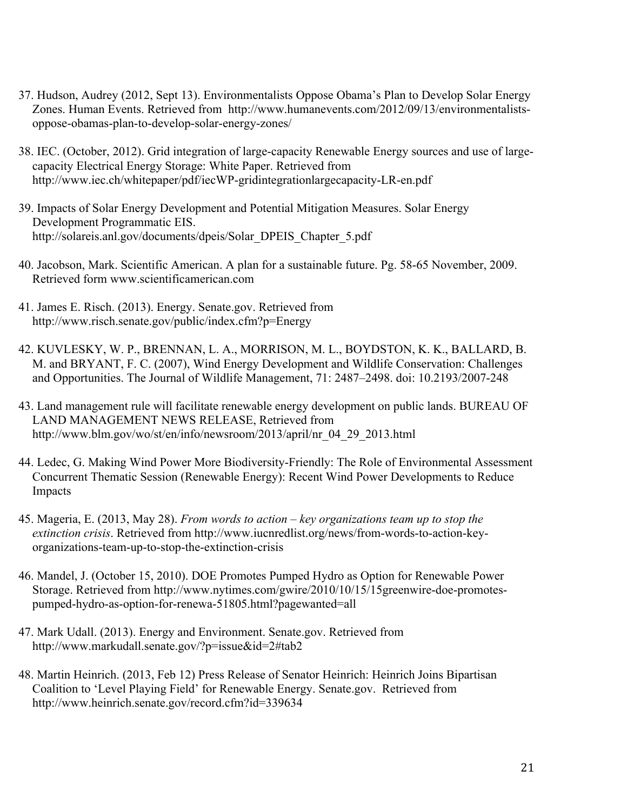- 37. Hudson, Audrey (2012, Sept 13). Environmentalists Oppose Obama's Plan to Develop Solar Energy Zones. Human Events. Retrieved from http://www.humanevents.com/2012/09/13/environmentalistsoppose-obamas-plan-to-develop-solar-energy-zones/
- 38. IEC. (October, 2012). Grid integration of large-capacity Renewable Energy sources and use of largecapacity Electrical Energy Storage: White Paper. Retrieved from http://www.iec.ch/whitepaper/pdf/iecWP-gridintegrationlargecapacity-LR-en.pdf
- 39. Impacts of Solar Energy Development and Potential Mitigation Measures. Solar Energy Development Programmatic EIS. http://solareis.anl.gov/documents/dpeis/Solar\_DPEIS\_Chapter\_5.pdf
- 40. Jacobson, Mark. Scientific American. A plan for a sustainable future. Pg. 58-65 November, 2009. Retrieved form www.scientificamerican.com
- 41. James E. Risch. (2013). Energy. Senate.gov. Retrieved from http://www.risch.senate.gov/public/index.cfm?p=Energy
- 42. KUVLESKY, W. P., BRENNAN, L. A., MORRISON, M. L., BOYDSTON, K. K., BALLARD, B. M. and BRYANT, F. C. (2007), Wind Energy Development and Wildlife Conservation: Challenges and Opportunities. The Journal of Wildlife Management, 71: 2487–2498. doi: 10.2193/2007-248
- 43. Land management rule will facilitate renewable energy development on public lands. BUREAU OF LAND MANAGEMENT NEWS RELEASE, Retrieved from http://www.blm.gov/wo/st/en/info/newsroom/2013/april/nr\_04\_29\_2013.html
- 44. Ledec, G. Making Wind Power More Biodiversity-Friendly: The Role of Environmental Assessment Concurrent Thematic Session (Renewable Energy): Recent Wind Power Developments to Reduce Impacts
- 45. Mageria, E. (2013, May 28). *From words to action key organizations team up to stop the extinction crisis*. Retrieved from http://www.iucnredlist.org/news/from-words-to-action-keyorganizations-team-up-to-stop-the-extinction-crisis
- 46. Mandel, J. (October 15, 2010). DOE Promotes Pumped Hydro as Option for Renewable Power Storage. Retrieved from http://www.nytimes.com/gwire/2010/10/15/15greenwire-doe-promotespumped-hydro-as-option-for-renewa-51805.html?pagewanted=all
- 47. Mark Udall. (2013). Energy and Environment. Senate.gov. Retrieved from http://www.markudall.senate.gov/?p=issue&id=2#tab2
- 48. Martin Heinrich. (2013, Feb 12) Press Release of Senator Heinrich: Heinrich Joins Bipartisan Coalition to 'Level Playing Field' for Renewable Energy. Senate.gov. Retrieved from http://www.heinrich.senate.gov/record.cfm?id=339634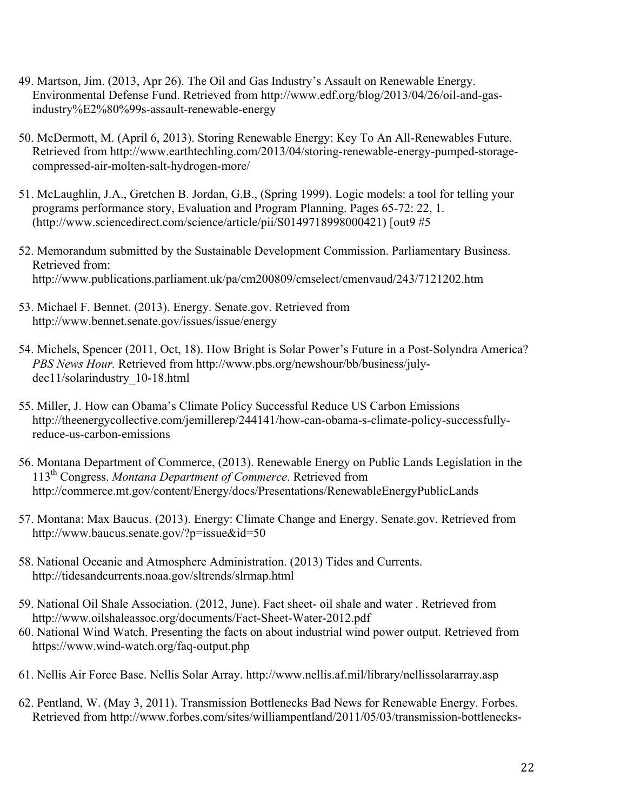- 49. Martson, Jim. (2013, Apr 26). The Oil and Gas Industry's Assault on Renewable Energy. Environmental Defense Fund. Retrieved from http://www.edf.org/blog/2013/04/26/oil-and-gasindustry%E2%80%99s-assault-renewable-energy
- 50. McDermott, M. (April 6, 2013). Storing Renewable Energy: Key To An All-Renewables Future. Retrieved from http://www.earthtechling.com/2013/04/storing-renewable-energy-pumped-storagecompressed-air-molten-salt-hydrogen-more/
- 51. McLaughlin, J.A., Gretchen B. Jordan, G.B., (Spring 1999). Logic models: a tool for telling your programs performance story, Evaluation and Program Planning. Pages 65-72: 22, 1. (http://www.sciencedirect.com/science/article/pii/S0149718998000421) [out9 #5
- 52. Memorandum submitted by the Sustainable Development Commission. Parliamentary Business. Retrieved from: http://www.publications.parliament.uk/pa/cm200809/cmselect/cmenvaud/243/7121202.htm
- 53. Michael F. Bennet. (2013). Energy. Senate.gov. Retrieved from http://www.bennet.senate.gov/issues/issue/energy
- 54. Michels, Spencer (2011, Oct, 18). How Bright is Solar Power's Future in a Post-Solyndra America? *PBS News Hour.* Retrieved from http://www.pbs.org/newshour/bb/business/julydec11/solarindustry\_10-18.html
- 55. Miller, J. How can Obama's Climate Policy Successful Reduce US Carbon Emissions http://theenergycollective.com/jemillerep/244141/how-can-obama-s-climate-policy-successfullyreduce-us-carbon-emissions
- 56. Montana Department of Commerce, (2013). Renewable Energy on Public Lands Legislation in the 113th Congress. *Montana Department of Commerce*. Retrieved from http://commerce.mt.gov/content/Energy/docs/Presentations/RenewableEnergyPublicLands
- 57. Montana: Max Baucus. (2013). Energy: Climate Change and Energy. Senate.gov. Retrieved from http://www.baucus.senate.gov/?p=issue&id=50
- 58. National Oceanic and Atmosphere Administration. (2013) Tides and Currents. http://tidesandcurrents.noaa.gov/sltrends/slrmap.html
- 59. National Oil Shale Association. (2012, June). Fact sheet- oil shale and water . Retrieved from http://www.oilshaleassoc.org/documents/Fact-Sheet-Water-2012.pdf
- 60. National Wind Watch. Presenting the facts on about industrial wind power output. Retrieved from https://www.wind-watch.org/faq-output.php
- 61. Nellis Air Force Base. Nellis Solar Array. http://www.nellis.af.mil/library/nellissolararray.asp
- 62. Pentland, W. (May 3, 2011). Transmission Bottlenecks Bad News for Renewable Energy. Forbes. Retrieved from http://www.forbes.com/sites/williampentland/2011/05/03/transmission-bottlenecks-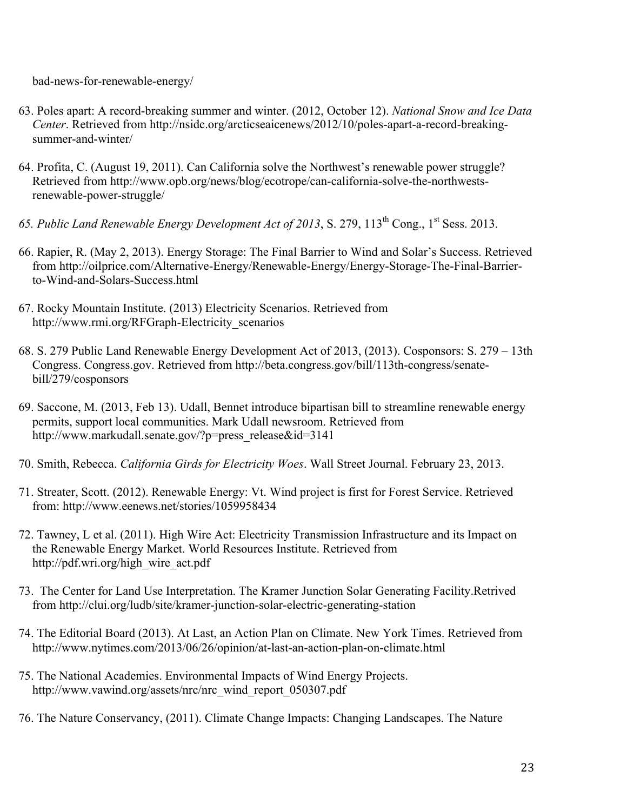bad-news-for-renewable-energy/

- 63. Poles apart: A record-breaking summer and winter. (2012, October 12). *National Snow and Ice Data Center*. Retrieved from http://nsidc.org/arcticseaicenews/2012/10/poles-apart-a-record-breakingsummer-and-winter/
- 64. Profita, C. (August 19, 2011). Can California solve the Northwest's renewable power struggle? Retrieved from http://www.opb.org/news/blog/ecotrope/can-california-solve-the-northwestsrenewable-power-struggle/
- *65. Public Land Renewable Energy Development Act of 2013*, S. 279, 113th Cong., 1st Sess. 2013.
- 66. Rapier, R. (May 2, 2013). Energy Storage: The Final Barrier to Wind and Solar's Success. Retrieved from http://oilprice.com/Alternative-Energy/Renewable-Energy/Energy-Storage-The-Final-Barrierto-Wind-and-Solars-Success.html
- 67. Rocky Mountain Institute. (2013) Electricity Scenarios. Retrieved from http://www.rmi.org/RFGraph-Electricity\_scenarios
- 68. S. 279 Public Land Renewable Energy Development Act of 2013, (2013). Cosponsors: S. 279 13th Congress. Congress.gov. Retrieved from http://beta.congress.gov/bill/113th-congress/senatebill/279/cosponsors
- 69. Saccone, M. (2013, Feb 13). Udall, Bennet introduce bipartisan bill to streamline renewable energy permits, support local communities. Mark Udall newsroom. Retrieved from http://www.markudall.senate.gov/?p=press\_release&id=3141
- 70. Smith, Rebecca. *California Girds for Electricity Woes*. Wall Street Journal. February 23, 2013.
- 71. Streater, Scott. (2012). Renewable Energy: Vt. Wind project is first for Forest Service. Retrieved from: http://www.eenews.net/stories/1059958434
- 72. Tawney, L et al. (2011). High Wire Act: Electricity Transmission Infrastructure and its Impact on the Renewable Energy Market. World Resources Institute. Retrieved from http://pdf.wri.org/high\_wire\_act.pdf
- 73. The Center for Land Use Interpretation. The Kramer Junction Solar Generating Facility.Retrived from http://clui.org/ludb/site/kramer-junction-solar-electric-generating-station
- 74. The Editorial Board (2013). At Last, an Action Plan on Climate. New York Times. Retrieved from http://www.nytimes.com/2013/06/26/opinion/at-last-an-action-plan-on-climate.html
- 75. The National Academies. Environmental Impacts of Wind Energy Projects. http://www.vawind.org/assets/nrc/nrc\_wind\_report\_050307.pdf
- 76. The Nature Conservancy, (2011). Climate Change Impacts: Changing Landscapes. The Nature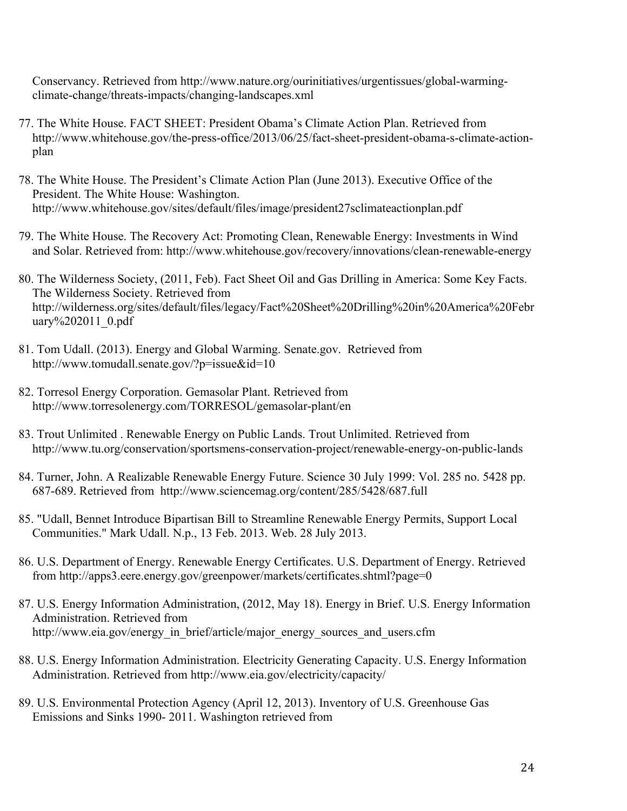Conservancy. Retrieved from http://www.nature.org/ourinitiatives/urgentissues/global-warmingclimate-change/threats-impacts/changing-landscapes.xml

- 77. The White House. FACT SHEET: President Obama's Climate Action Plan. Retrieved from http://www.whitehouse.gov/the-press-office/2013/06/25/fact-sheet-president-obama-s-climate-actionplan
- 78. The White House. The President's Climate Action Plan (June 2013). Executive Office of the President. The White House: Washington. http://www.whitehouse.gov/sites/default/files/image/president27sclimateactionplan.pdf
- 79. The White House. The Recovery Act: Promoting Clean, Renewable Energy: Investments in Wind and Solar. Retrieved from: http://www.whitehouse.gov/recovery/innovations/clean-renewable-energy
- 80. The Wilderness Society, (2011, Feb). Fact Sheet Oil and Gas Drilling in America: Some Key Facts. The Wilderness Society. Retrieved from http://wilderness.org/sites/default/files/legacy/Fact%20Sheet%20Drilling%20in%20America%20Febr uary%202011\_0.pdf
- 81. Tom Udall. (2013). Energy and Global Warming. Senate.gov. Retrieved from http://www.tomudall.senate.gov/?p=issue&id=10
- 82. Torresol Energy Corporation. Gemasolar Plant. Retrieved from http://www.torresolenergy.com/TORRESOL/gemasolar-plant/en
- 83. Trout Unlimited . Renewable Energy on Public Lands. Trout Unlimited. Retrieved from http://www.tu.org/conservation/sportsmens-conservation-project/renewable-energy-on-public-lands
- 84. Turner, John. A Realizable Renewable Energy Future. Science 30 July 1999: Vol. 285 no. 5428 pp. 687-689. Retrieved from http://www.sciencemag.org/content/285/5428/687.full
- 85. "Udall, Bennet Introduce Bipartisan Bill to Streamline Renewable Energy Permits, Support Local Communities." Mark Udall. N.p., 13 Feb. 2013. Web. 28 July 2013.
- 86. U.S. Department of Energy. Renewable Energy Certificates. U.S. Department of Energy. Retrieved from http://apps3.eere.energy.gov/greenpower/markets/certificates.shtml?page=0
- 87. U.S. Energy Information Administration, (2012, May 18). Energy in Brief. U.S. Energy Information Administration. Retrieved from http://www.eia.gov/energy\_in\_brief/article/major\_energy\_sources\_and\_users.cfm
- 88. U.S. Energy Information Administration. Electricity Generating Capacity. U.S. Energy Information Administration. Retrieved from http://www.eia.gov/electricity/capacity/
- 89. U.S. Environmental Protection Agency (April 12, 2013). Inventory of U.S. Greenhouse Gas Emissions and Sinks 1990- 2011. Washington retrieved from